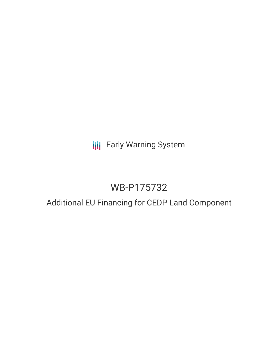**III** Early Warning System

# WB-P175732

## Additional EU Financing for CEDP Land Component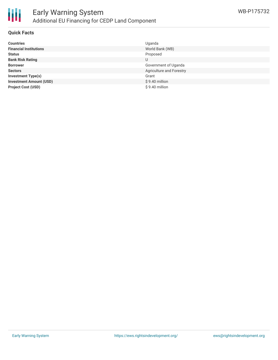

#### **Quick Facts**

| <b>Countries</b>               | Uganda                   |
|--------------------------------|--------------------------|
| <b>Financial Institutions</b>  | World Bank (WB)          |
| <b>Status</b>                  | Proposed                 |
| <b>Bank Risk Rating</b>        | U                        |
| <b>Borrower</b>                | Government of Uganda     |
| <b>Sectors</b>                 | Agriculture and Forestry |
| <b>Investment Type(s)</b>      | Grant                    |
| <b>Investment Amount (USD)</b> | $$9.40$ million          |
| <b>Project Cost (USD)</b>      | \$9.40 million           |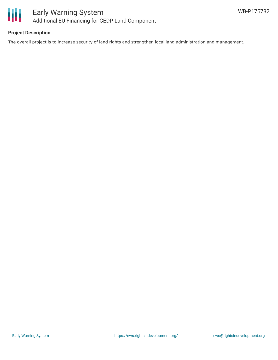



### **Project Description**

The overall project is to increase security of land rights and strengthen local land administration and management.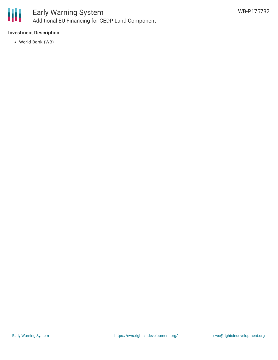

## **Investment Description**

World Bank (WB)